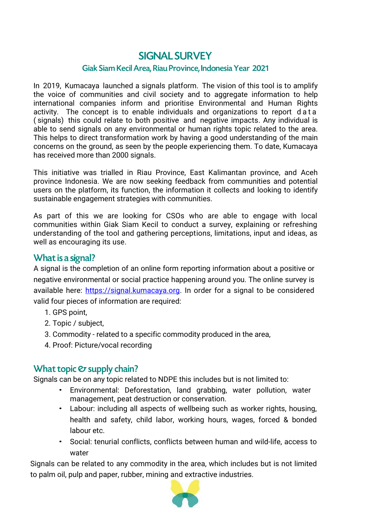### **SIGNAL SURVEY** Giak Siam Kecil Area, Riau Province, Indonesia Year 2021

In 2019, Kumacaya launched a signals platform. The vision of this tool is to amplify the voice of communities and civil society and to aggregate information to help international companies inform and prioritise Environmental and Human Rights activity. The concept is to enable individuals and organizations to report data ( signals) this could relate to both positive and negative impacts. Any individual is able to send signals on any environmental or human rights topic related to the area. This helps to direct transformation work by having a good understanding of the main concerns on the ground, as seen by the people experiencing them. To date, Kumacaya has received more than 2000 signals.

This initiative was trialled in Riau Province, East Kalimantan province, and Aceh province Indonesia. We are now seeking feedback from communities and potential users on the platform, its function, the information it collects and looking to identify sustainable engagement strategies with communities.

As part of this we are looking for CSOs who are able to engage with local communities within Giak Siam Kecil to conduct a survey, explaining or refreshing understanding of the tool and gathering perceptions, limitations, input and ideas, as well as encouraging its use.

#### What is a signal?

A signal is the completion of an online form reporting information about a positive or negative environmental or social practice happening around you. The online survey is available here: [https://signal.kumacaya.org.](https://signal.kumacaya.org/) In order for a signal to be considered valid four pieces of information are required:

- 1. GPS point,
- 2. Topic / subject,
- 3. Commodity related to a specific commodity produced in the area,
- 4. Proof: Picture/vocal recording

### What topic & supply chain?

Signals can be on any topic related to NDPE this includes but is not limited to:

- Environmental: Deforestation, land grabbing, water pollution, water management, peat destruction or conservation.
- Labour: including all aspects of wellbeing such as worker rights, housing, health and safety, child labor, working hours, wages, forced & bonded labour etc.
- Social: tenurial conflicts, conflicts between human and wild-life, access to water

Signals can be related to any commodity in the area, which includes but is not limited to palm oil, pulp and paper, rubber, mining and extractive industries.

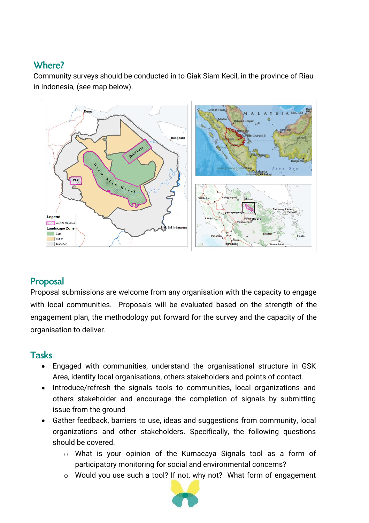## Where?

Community surveys should be conducted in to Giak Siam Kecil, in the province of Riau in Indonesia, (see map below).



# Proposal

Proposal submissions are welcome from any organisation with the capacity to engage with local communities. Proposals will be evaluated based on the strength of the engagement plan, the methodology put forward for the survey and the capacity of the organisation to deliver.

### **Tasks**

- Engaged with communities, understand the organisational structure in GSK Area, identify local organisations, others stakeholders and points of contact.
- Introduce/refresh the signals tools to communities, local organizations and others stakeholder and encourage the completion of signals by submitting issue from the ground
- Gather feedback, barriers to use, ideas and suggestions from community, local organizations and other stakeholders. Specifically, the following questions should be covered.
	- o What is your opinion of the Kumacaya Signals tool as a form of participatory monitoring for social and environmental concerns?
	- o Would you use such a tool? If not, why not? What form of engagement

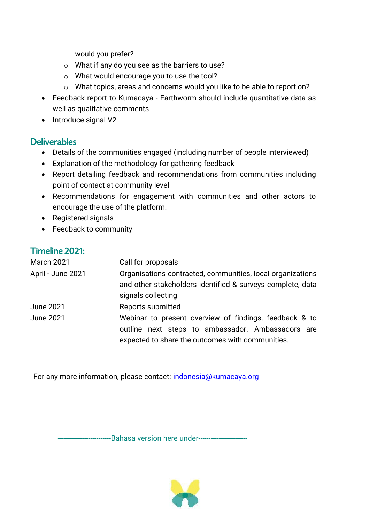would you prefer?

- o What if any do you see as the barriers to use?
- o What would encourage you to use the tool?
- o What topics, areas and concerns would you like to be able to report on?
- Feedback report to Kumacaya Earthworm should include quantitative data as well as qualitative comments.
- Introduce signal V2

### **Deliverables**

- Details of the communities engaged (including number of people interviewed)
- Explanation of the methodology for gathering feedback
- Report detailing feedback and recommendations from communities including point of contact at community level
- Recommendations for engagement with communities and other actors to encourage the use of the platform.
- Registered signals
- Feedback to community

#### Timeline 2021:

| <b>March 2021</b> | Call for proposals                                                                                                                                              |
|-------------------|-----------------------------------------------------------------------------------------------------------------------------------------------------------------|
| April - June 2021 | Organisations contracted, communities, local organizations<br>and other stakeholders identified & surveys complete, data<br>signals collecting                  |
| <b>June 2021</b>  | Reports submitted                                                                                                                                               |
| <b>June 2021</b>  | Webinar to present overview of findings, feedback & to<br>outline next steps to ambassador. Ambassadors are<br>expected to share the outcomes with communities. |

For any more information, please contact: [indonesia@kumacaya.org](mailto:indonesia@kumacaya.org)

----------Bahasa version here under-------------

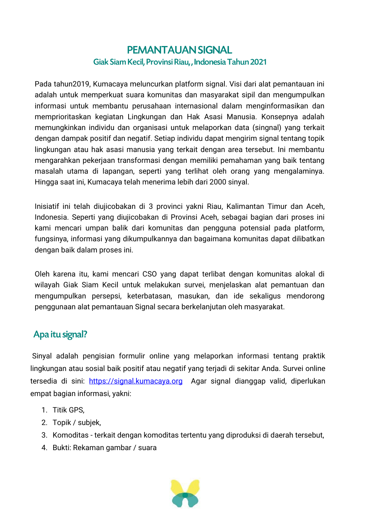## **PEMANTAUAN SIGNAL** Giak Siam Kecil, Provinsi Riau,, Indonesia Tahun 2021

Pada tahun2019, Kumacaya meluncurkan platform signal. Visi dari alat pemantauan ini adalah untuk memperkuat suara komunitas dan masyarakat sipil dan mengumpulkan informasi untuk membantu perusahaan internasional dalam menginformasikan dan memprioritaskan kegiatan Lingkungan dan Hak Asasi Manusia. Konsepnya adalah memungkinkan individu dan organisasi untuk melaporkan data (singnal) yang terkait dengan dampak positif dan negatif. Setiap individu dapat mengirim signal tentang topik lingkungan atau hak asasi manusia yang terkait dengan area tersebut. Ini membantu mengarahkan pekerjaan transformasi dengan memiliki pemahaman yang baik tentang masalah utama di lapangan, seperti yang terlihat oleh orang yang mengalaminya. Hingga saat ini, Kumacaya telah menerima lebih dari 2000 sinyal.

Inisiatif ini telah diujicobakan di 3 provinci yakni Riau, Kalimantan Timur dan Aceh, Indonesia. Seperti yang diujicobakan di Provinsi Aceh, sebagai bagian dari proses ini kami mencari umpan balik dari komunitas dan pengguna potensial pada platform, fungsinya, informasi yang dikumpulkannya dan bagaimana komunitas dapat dilibatkan dengan baik dalam proses ini.

Oleh karena itu, kami mencari CSO yang dapat terlibat dengan komunitas alokal di wilayah Giak Siam Kecil untuk melakukan survei, menjelaskan alat pemantuan dan mengumpulkan persepsi, keterbatasan, masukan, dan ide sekaligus mendorong penggunaan alat pemantauan Signal secara berkelanjutan oleh masyarakat.

## Apa itu signal?

Sinyal adalah pengisian formulir online yang melaporkan informasi tentang praktik lingkungan atau sosial baik positif atau negatif yang terjadi di sekitar Anda. Survei online tersedia di sini: [https://signal.kumacaya.org](https://signal.kumacaya.org/) Agar signal dianggap valid, diperlukan empat bagian informasi, yakni:

- 1. Titik GPS,
- 2. Topik / subjek,
- 3. Komoditas terkait dengan komoditas tertentu yang diproduksi di daerah tersebut,
- 4. Bukti: Rekaman gambar / suara

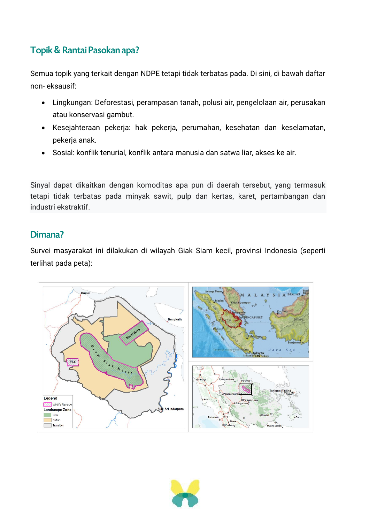# Topik & Rantai Pasokan apa?

Semua topik yang terkait dengan NDPE tetapi tidak terbatas pada. Di sini, di bawah daftar non- eksausif:

- Lingkungan: Deforestasi, perampasan tanah, polusi air, pengelolaan air, perusakan atau konservasi gambut.
- Kesejahteraan pekerja: hak pekerja, perumahan, kesehatan dan keselamatan, pekerja anak.
- Sosial: konflik tenurial, konflik antara manusia dan satwa liar, akses ke air.

Sinyal dapat dikaitkan dengan komoditas apa pun di daerah tersebut, yang termasuk tetapi tidak terbatas pada minyak sawit, pulp dan kertas, karet, pertambangan dan industri ekstraktif.

#### Dimana?

Survei masyarakat ini dilakukan di wilayah Giak Siam kecil, provinsi Indonesia (seperti terlihat pada peta):



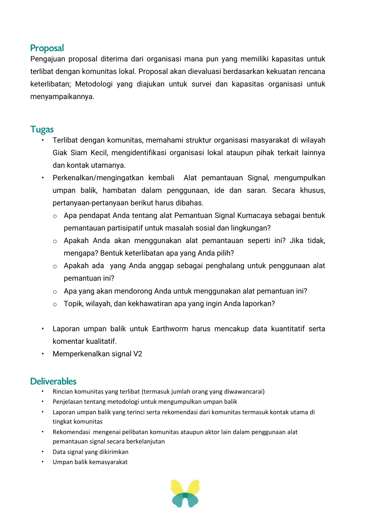### **Proposal**

Pengajuan proposal diterima dari organisasi mana pun yang memiliki kapasitas untuk terlibat dengan komunitas lokal. Proposal akan dievaluasi berdasarkan kekuatan rencana keterlibatan; Metodologi yang diajukan untuk survei dan kapasitas organisasi untuk menyampaikannya.

#### **Tugas**

- Terlibat dengan komunitas, memahami struktur organisasi masyarakat di wilayah Giak Siam Kecil, mengidentifikasi organisasi lokal ataupun pihak terkait lainnya dan kontak utamanya.
- Perkenalkan/mengingatkan kembali Alat pemantauan Signal, mengumpulkan umpan balik, hambatan dalam penggunaan, ide dan saran. Secara khusus, pertanyaan-pertanyaan berikut harus dibahas.
	- o Apa pendapat Anda tentang alat Pemantuan Signal Kumacaya sebagai bentuk pemantauan partisipatif untuk masalah sosial dan lingkungan?
	- o Apakah Anda akan menggunakan alat pemantauan seperti ini? Jika tidak, mengapa? Bentuk keterlibatan apa yang Anda pilih?
	- o Apakah ada yang Anda anggap sebagai penghalang untuk penggunaan alat pemantuan ini?
	- o Apa yang akan mendorong Anda untuk menggunakan alat pemantuan ini?
	- o Topik, wilayah, dan kekhawatiran apa yang ingin Anda laporkan?
- Laporan umpan balik untuk Earthworm harus mencakup data kuantitatif serta komentar kualitatif.
- Memperkenalkan signal V2

## **Deliverables**

- Rincian komunitas yang terlibat (termasuk jumlah orang yang diwawancarai)
- Penjelasan tentang metodologi untuk mengumpulkan umpan balik
- Laporan umpan balik yang terinci serta rekomendasi dari komunitas termasuk kontak utama di tingkat komunitas
- Rekomendasi mengenai pelibatan komunitas ataupun aktor lain dalam penggunaan alat pemantauan signal secara berkelanjutan
- Data signal yang dikirimkan
- Umpan balik kemasyarakat